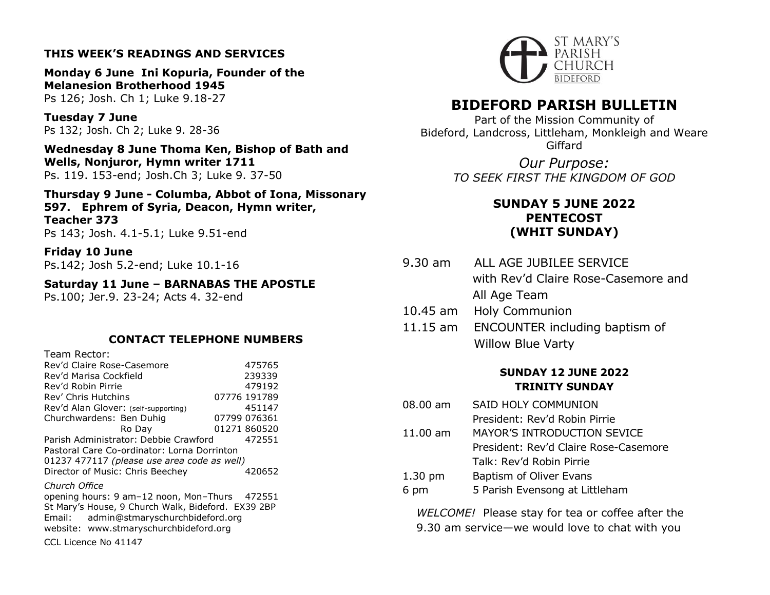## **THIS WEEK'S READINGS AND SERVICES**

**Monday 6 June Ini Kopuria, Founder of the Melanesion Brotherhood 1945** Ps 126; Josh. Ch 1; Luke 9.18-27

**Tuesday 7 June** Ps 132; Josh. Ch 2; Luke 9. 28-36

**Wednesday 8 June Thoma Ken, Bishop of Bath and Wells, Nonjuror, Hymn writer 1711** Ps. 119. 153-end; Josh.Ch 3; Luke 9. 37-50

**Thursday 9 June - Columba, Abbot of Iona, Missonary 597. Ephrem of Syria, Deacon, Hymn writer, Teacher 373** Ps 143; Josh. 4.1-5.1; Luke 9.51-end

**Friday 10 June** Ps.142; Josh 5.2-end; Luke 10.1-16

**Saturday 11 June – BARNABAS THE APOSTLE** Ps.100; Jer.9. 23-24; Acts 4. 32-end

## **CONTACT TELEPHONE NUMBERS**

| Team Rector:                                       |                                        |  |              |  |
|----------------------------------------------------|----------------------------------------|--|--------------|--|
| Rev'd Claire Rose-Casemore                         |                                        |  | 475765       |  |
| Rev'd Marisa Cockfield                             |                                        |  | 239339       |  |
| Rev'd Robin Pirrie                                 |                                        |  | 479192       |  |
| Rev' Chris Hutchins                                |                                        |  | 07776 191789 |  |
| Rev'd Alan Glover: (self-supporting)               |                                        |  | 451147       |  |
| Churchwardens: Ben Duhig                           |                                        |  | 07799 076361 |  |
|                                                    | Ro Day                                 |  | 01271 860520 |  |
| Parish Administrator: Debbie Crawford              |                                        |  | 472551       |  |
| Pastoral Care Co-ordinator: Lorna Dorrinton        |                                        |  |              |  |
| 01237 477117 (please use area code as well)        |                                        |  |              |  |
| Director of Music: Chris Beechey                   |                                        |  | 420652       |  |
| Church Office                                      |                                        |  |              |  |
| opening hours: 9 am-12 noon, Mon-Thurs 472551      |                                        |  |              |  |
| St Mary's House, 9 Church Walk, Bideford. EX39 2BP |                                        |  |              |  |
|                                                    | Email: admin@stmaryschurchbideford.org |  |              |  |
|                                                    | website: www.stmaryschurchbideford.org |  |              |  |
| CCL Licence No 41147                               |                                        |  |              |  |



# **BIDEFORD PARISH BULLETIN**

Part of the Mission Community of Bideford, Landcross, Littleham, Monkleigh and Weare Giffard

> *Our Purpose: TO SEEK FIRST THE KINGDOM OF GOD*

## **SUNDAY 5 JUNE 2022 PENTECOST (WHIT SUNDAY)**

- 9.30 am ALL AGE JUBILEE SERVICE with Rev'd Claire Rose-Casemore and All Age Team
- 10.45 am Holy Communion
- 11.15 am ENCOUNTER including baptism of Willow Blue Varty

## **SUNDAY 12 JUNE 2022 TRINITY SUNDAY**

08.00 am SAID HOLY COMMUNION President: Rev'd Robin Pirrie 11.00 am MAYOR'S INTRODUCTION SEVICE President: Rev'd Claire Rose-Casemore Talk: Rev'd Robin Pirrie 1.30 pm Baptism of Oliver Evans 6 pm 5 Parish Evensong at Littleham

*WELCOME!* Please stay for tea or coffee after the 9.30 am service—we would love to chat with you